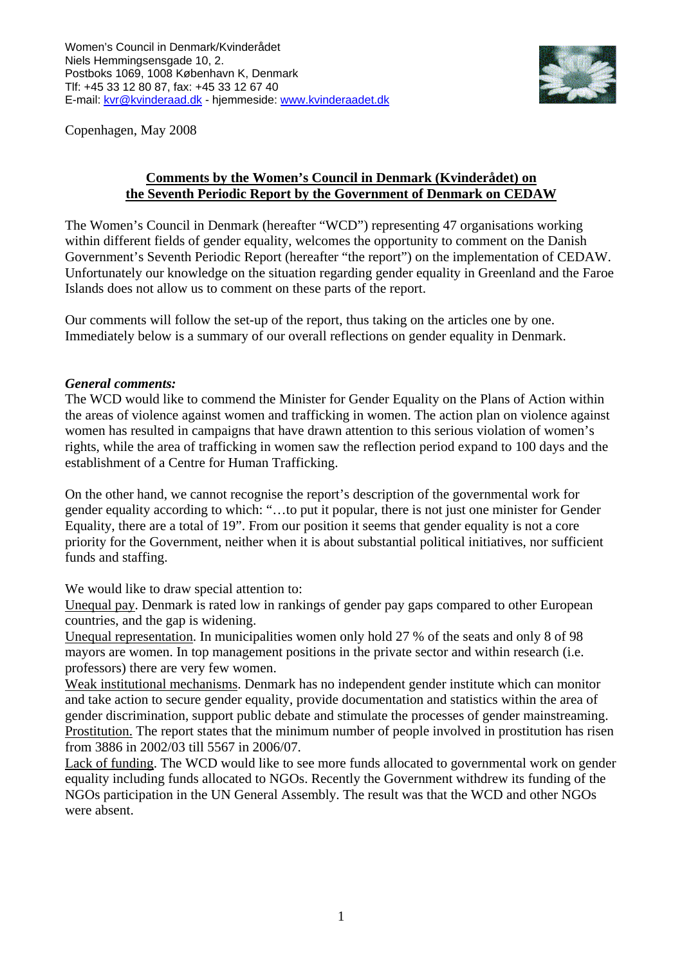

Copenhagen, May 2008

# **Comments by the Women's Council in Denmark (Kvinderådet) on the Seventh Periodic Report by the Government of Denmark on CEDAW**

The Women's Council in Denmark (hereafter "WCD") representing 47 organisations working within different fields of gender equality, welcomes the opportunity to comment on the Danish Government's Seventh Periodic Report (hereafter "the report") on the implementation of CEDAW. Unfortunately our knowledge on the situation regarding gender equality in Greenland and the Faroe Islands does not allow us to comment on these parts of the report.

Our comments will follow the set-up of the report, thus taking on the articles one by one. Immediately below is a summary of our overall reflections on gender equality in Denmark.

### *General comments:*

The WCD would like to commend the Minister for Gender Equality on the Plans of Action within the areas of violence against women and trafficking in women. The action plan on violence against women has resulted in campaigns that have drawn attention to this serious violation of women's rights, while the area of trafficking in women saw the reflection period expand to 100 days and the establishment of a Centre for Human Trafficking.

On the other hand, we cannot recognise the report's description of the governmental work for gender equality according to which: "…to put it popular, there is not just one minister for Gender Equality, there are a total of 19". From our position it seems that gender equality is not a core priority for the Government, neither when it is about substantial political initiatives, nor sufficient funds and staffing.

We would like to draw special attention to:

Unequal pay. Denmark is rated low in rankings of gender pay gaps compared to other European countries, and the gap is widening.

Unequal representation. In municipalities women only hold 27 % of the seats and only 8 of 98 mayors are women. In top management positions in the private sector and within research (i.e. professors) there are very few women.

Weak institutional mechanisms. Denmark has no independent gender institute which can monitor and take action to secure gender equality, provide documentation and statistics within the area of gender discrimination, support public debate and stimulate the processes of gender mainstreaming. Prostitution. The report states that the minimum number of people involved in prostitution has risen from 3886 in 2002/03 till 5567 in 2006/07.

Lack of funding. The WCD would like to see more funds allocated to governmental work on gender equality including funds allocated to NGOs. Recently the Government withdrew its funding of the NGOs participation in the UN General Assembly. The result was that the WCD and other NGOs were absent.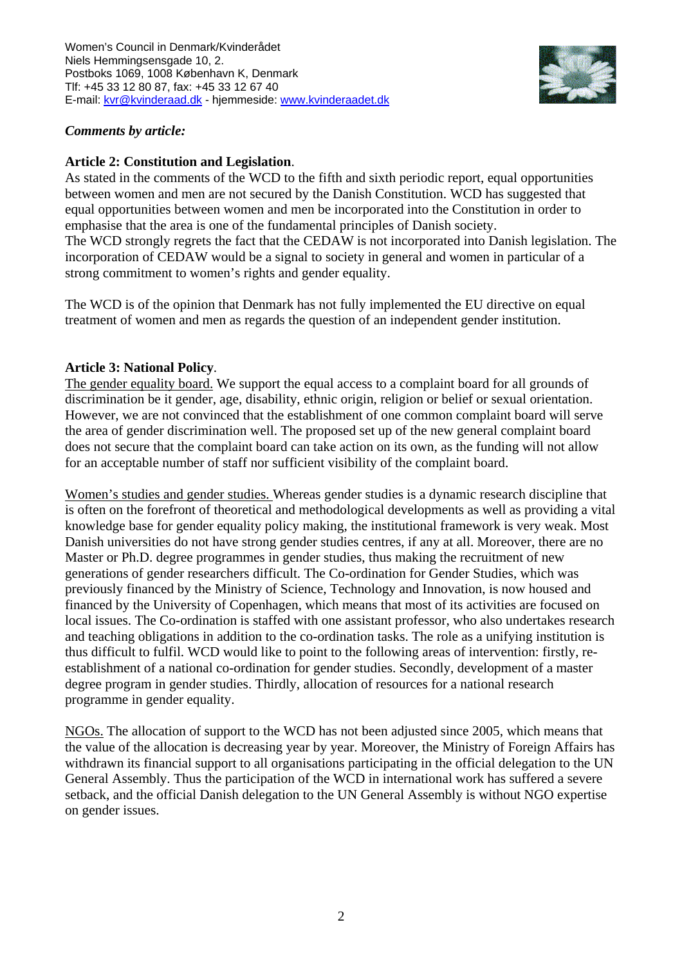

### *Comments by article:*

### **Article 2: Constitution and Legislation**.

As stated in the comments of the WCD to the fifth and sixth periodic report, equal opportunities between women and men are not secured by the Danish Constitution. WCD has suggested that equal opportunities between women and men be incorporated into the Constitution in order to emphasise that the area is one of the fundamental principles of Danish society. The WCD strongly regrets the fact that the CEDAW is not incorporated into Danish legislation. The incorporation of CEDAW would be a signal to society in general and women in particular of a strong commitment to women's rights and gender equality.

The WCD is of the opinion that Denmark has not fully implemented the EU directive on equal treatment of women and men as regards the question of an independent gender institution.

#### **Article 3: National Policy**.

The gender equality board. We support the equal access to a complaint board for all grounds of discrimination be it gender, age, disability, ethnic origin, religion or belief or sexual orientation. However, we are not convinced that the establishment of one common complaint board will serve the area of gender discrimination well. The proposed set up of the new general complaint board does not secure that the complaint board can take action on its own, as the funding will not allow for an acceptable number of staff nor sufficient visibility of the complaint board.

Women's studies and gender studies. Whereas gender studies is a dynamic research discipline that is often on the forefront of theoretical and methodological developments as well as providing a vital knowledge base for gender equality policy making, the institutional framework is very weak. Most Danish universities do not have strong gender studies centres, if any at all. Moreover, there are no Master or Ph.D. degree programmes in gender studies, thus making the recruitment of new generations of gender researchers difficult. The Co-ordination for Gender Studies, which was previously financed by the Ministry of Science, Technology and Innovation, is now housed and financed by the University of Copenhagen, which means that most of its activities are focused on local issues. The Co-ordination is staffed with one assistant professor, who also undertakes research and teaching obligations in addition to the co-ordination tasks. The role as a unifying institution is thus difficult to fulfil. WCD would like to point to the following areas of intervention: firstly, reestablishment of a national co-ordination for gender studies. Secondly, development of a master degree program in gender studies. Thirdly, allocation of resources for a national research programme in gender equality.

NGOs. The allocation of support to the WCD has not been adjusted since 2005, which means that the value of the allocation is decreasing year by year. Moreover, the Ministry of Foreign Affairs has withdrawn its financial support to all organisations participating in the official delegation to the UN General Assembly. Thus the participation of the WCD in international work has suffered a severe setback, and the official Danish delegation to the UN General Assembly is without NGO expertise on gender issues.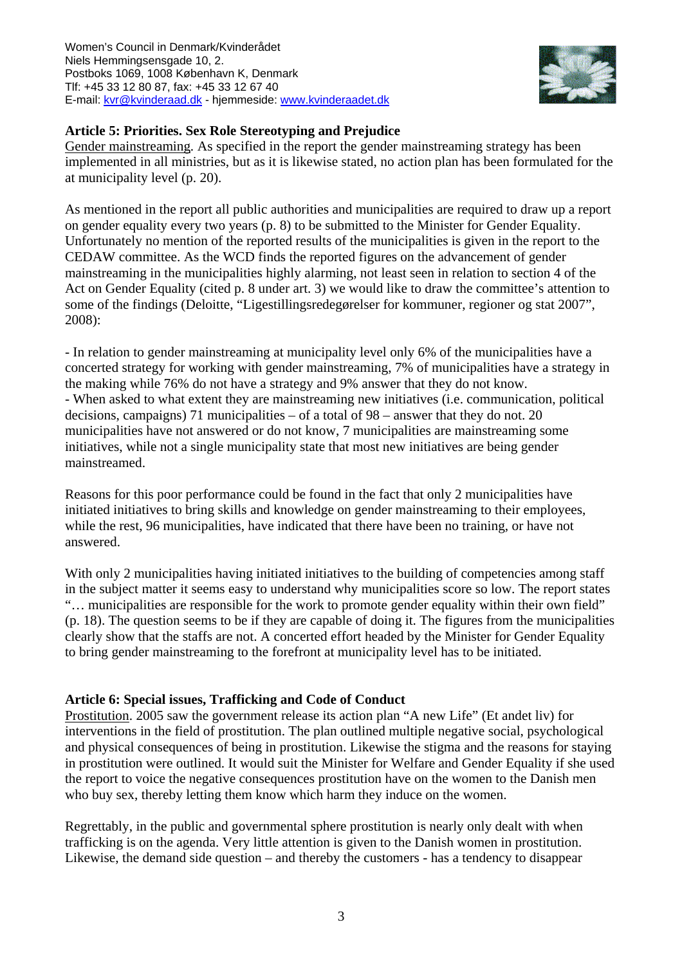

### **Article 5: Priorities. Sex Role Stereotyping and Prejudice**

Gender mainstreaming*.* As specified in the report the gender mainstreaming strategy has been implemented in all ministries, but as it is likewise stated, no action plan has been formulated for the at municipality level (p. 20).

As mentioned in the report all public authorities and municipalities are required to draw up a report on gender equality every two years (p. 8) to be submitted to the Minister for Gender Equality. Unfortunately no mention of the reported results of the municipalities is given in the report to the CEDAW committee. As the WCD finds the reported figures on the advancement of gender mainstreaming in the municipalities highly alarming, not least seen in relation to section 4 of the Act on Gender Equality (cited p. 8 under art. 3) we would like to draw the committee's attention to some of the findings (Deloitte, "Ligestillingsredegørelser for kommuner, regioner og stat 2007", 2008):

- In relation to gender mainstreaming at municipality level only 6% of the municipalities have a concerted strategy for working with gender mainstreaming, 7% of municipalities have a strategy in the making while 76% do not have a strategy and 9% answer that they do not know. - When asked to what extent they are mainstreaming new initiatives (i.e. communication, political decisions, campaigns) 71 municipalities – of a total of  $98$  – answer that they do not. 20 municipalities have not answered or do not know, 7 municipalities are mainstreaming some initiatives, while not a single municipality state that most new initiatives are being gender mainstreamed.

Reasons for this poor performance could be found in the fact that only 2 municipalities have initiated initiatives to bring skills and knowledge on gender mainstreaming to their employees, while the rest, 96 municipalities, have indicated that there have been no training, or have not answered.

With only 2 municipalities having initiated initiatives to the building of competencies among staff in the subject matter it seems easy to understand why municipalities score so low. The report states "… municipalities are responsible for the work to promote gender equality within their own field" (p. 18). The question seems to be if they are capable of doing it. The figures from the municipalities clearly show that the staffs are not. A concerted effort headed by the Minister for Gender Equality to bring gender mainstreaming to the forefront at municipality level has to be initiated.

#### **Article 6: Special issues, Trafficking and Code of Conduct**

Prostitution. 2005 saw the government release its action plan "A new Life" (Et andet liv) for interventions in the field of prostitution. The plan outlined multiple negative social, psychological and physical consequences of being in prostitution. Likewise the stigma and the reasons for staying in prostitution were outlined. It would suit the Minister for Welfare and Gender Equality if she used the report to voice the negative consequences prostitution have on the women to the Danish men who buy sex, thereby letting them know which harm they induce on the women.

Regrettably, in the public and governmental sphere prostitution is nearly only dealt with when trafficking is on the agenda. Very little attention is given to the Danish women in prostitution. Likewise, the demand side question – and thereby the customers - has a tendency to disappear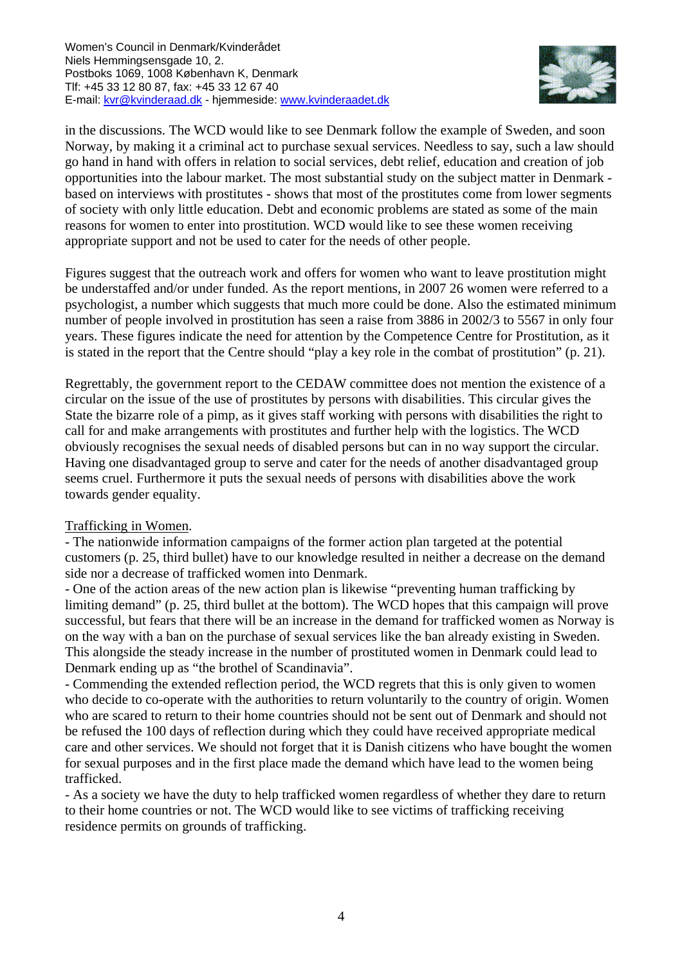

in the discussions. The WCD would like to see Denmark follow the example of Sweden, and soon Norway, by making it a criminal act to purchase sexual services. Needless to say, such a law should go hand in hand with offers in relation to social services, debt relief, education and creation of job opportunities into the labour market. The most substantial study on the subject matter in Denmark based on interviews with prostitutes - shows that most of the prostitutes come from lower segments of society with only little education. Debt and economic problems are stated as some of the main reasons for women to enter into prostitution. WCD would like to see these women receiving appropriate support and not be used to cater for the needs of other people.

Figures suggest that the outreach work and offers for women who want to leave prostitution might be understaffed and/or under funded. As the report mentions, in 2007 26 women were referred to a psychologist, a number which suggests that much more could be done. Also the estimated minimum number of people involved in prostitution has seen a raise from 3886 in 2002/3 to 5567 in only four years. These figures indicate the need for attention by the Competence Centre for Prostitution, as it is stated in the report that the Centre should "play a key role in the combat of prostitution" (p. 21).

Regrettably, the government report to the CEDAW committee does not mention the existence of a circular on the issue of the use of prostitutes by persons with disabilities. This circular gives the State the bizarre role of a pimp, as it gives staff working with persons with disabilities the right to call for and make arrangements with prostitutes and further help with the logistics. The WCD obviously recognises the sexual needs of disabled persons but can in no way support the circular. Having one disadvantaged group to serve and cater for the needs of another disadvantaged group seems cruel. Furthermore it puts the sexual needs of persons with disabilities above the work towards gender equality.

# Trafficking in Women.

- The nationwide information campaigns of the former action plan targeted at the potential customers (p. 25, third bullet) have to our knowledge resulted in neither a decrease on the demand side nor a decrease of trafficked women into Denmark.

- One of the action areas of the new action plan is likewise "preventing human trafficking by limiting demand" (p. 25, third bullet at the bottom). The WCD hopes that this campaign will prove successful, but fears that there will be an increase in the demand for trafficked women as Norway is on the way with a ban on the purchase of sexual services like the ban already existing in Sweden. This alongside the steady increase in the number of prostituted women in Denmark could lead to Denmark ending up as "the brothel of Scandinavia".

- Commending the extended reflection period, the WCD regrets that this is only given to women who decide to co-operate with the authorities to return voluntarily to the country of origin. Women who are scared to return to their home countries should not be sent out of Denmark and should not be refused the 100 days of reflection during which they could have received appropriate medical care and other services. We should not forget that it is Danish citizens who have bought the women for sexual purposes and in the first place made the demand which have lead to the women being trafficked.

- As a society we have the duty to help trafficked women regardless of whether they dare to return to their home countries or not. The WCD would like to see victims of trafficking receiving residence permits on grounds of trafficking.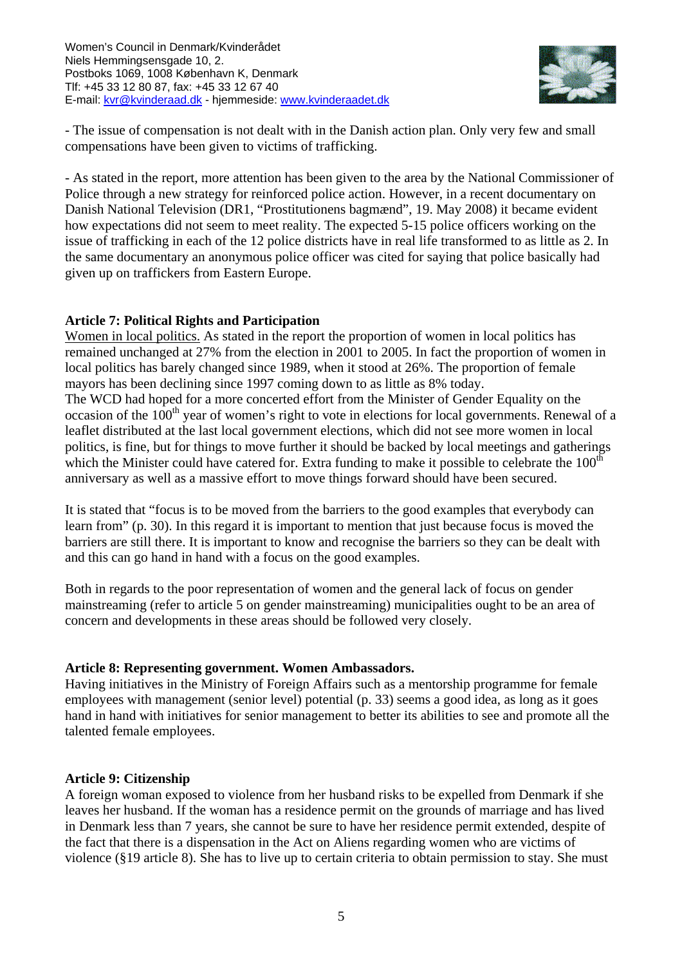

- The issue of compensation is not dealt with in the Danish action plan. Only very few and small compensations have been given to victims of trafficking.

- As stated in the report, more attention has been given to the area by the National Commissioner of Police through a new strategy for reinforced police action. However, in a recent documentary on Danish National Television (DR1, "Prostitutionens bagmænd", 19. May 2008) it became evident how expectations did not seem to meet reality. The expected 5-15 police officers working on the issue of trafficking in each of the 12 police districts have in real life transformed to as little as 2. In the same documentary an anonymous police officer was cited for saying that police basically had given up on traffickers from Eastern Europe.

### **Article 7: Political Rights and Participation**

Women in local politics. As stated in the report the proportion of women in local politics has remained unchanged at 27% from the election in 2001 to 2005. In fact the proportion of women in local politics has barely changed since 1989, when it stood at 26%. The proportion of female mayors has been declining since 1997 coming down to as little as 8% today. The WCD had hoped for a more concerted effort from the Minister of Gender Equality on the occasion of the  $100<sup>th</sup>$  year of women's right to vote in elections for local governments. Renewal of a leaflet distributed at the last local government elections, which did not see more women in local politics, is fine, but for things to move further it should be backed by local meetings and gatherings which the Minister could have catered for. Extra funding to make it possible to celebrate the 100<sup>th</sup> anniversary as well as a massive effort to move things forward should have been secured.

It is stated that "focus is to be moved from the barriers to the good examples that everybody can learn from" (p. 30). In this regard it is important to mention that just because focus is moved the barriers are still there. It is important to know and recognise the barriers so they can be dealt with and this can go hand in hand with a focus on the good examples.

Both in regards to the poor representation of women and the general lack of focus on gender mainstreaming (refer to article 5 on gender mainstreaming) municipalities ought to be an area of concern and developments in these areas should be followed very closely.

# **Article 8: Representing government. Women Ambassadors.**

Having initiatives in the Ministry of Foreign Affairs such as a mentorship programme for female employees with management (senior level) potential (p. 33) seems a good idea, as long as it goes hand in hand with initiatives for senior management to better its abilities to see and promote all the talented female employees.

# **Article 9: Citizenship**

A foreign woman exposed to violence from her husband risks to be expelled from Denmark if she leaves her husband. If the woman has a residence permit on the grounds of marriage and has lived in Denmark less than 7 years, she cannot be sure to have her residence permit extended, despite of the fact that there is a dispensation in the Act on Aliens regarding women who are victims of violence (§19 article 8). She has to live up to certain criteria to obtain permission to stay. She must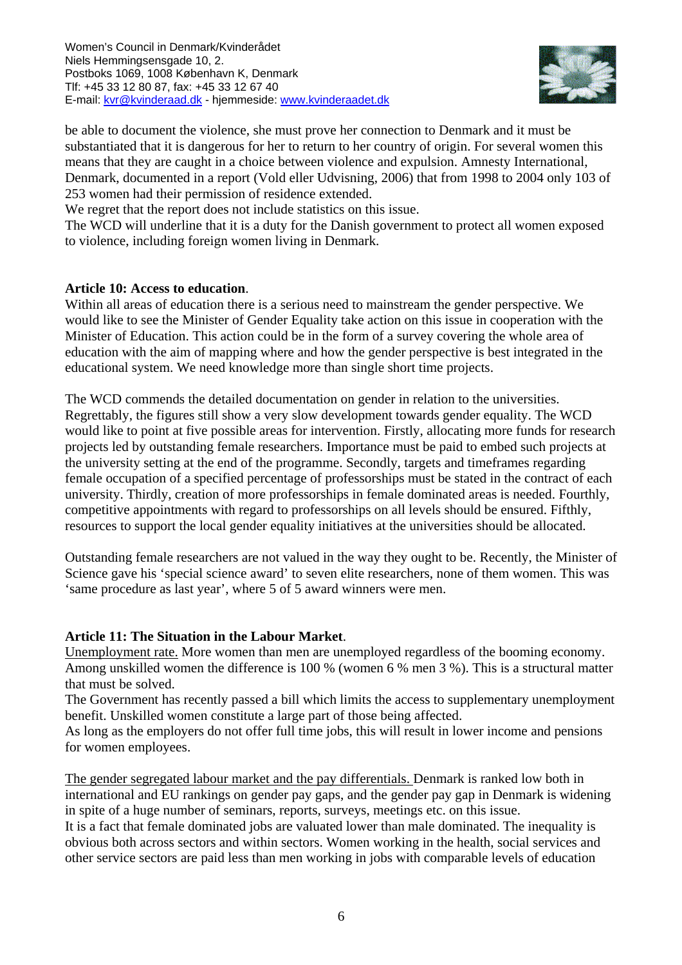

be able to document the violence, she must prove her connection to Denmark and it must be substantiated that it is dangerous for her to return to her country of origin. For several women this means that they are caught in a choice between violence and expulsion. Amnesty International, Denmark, documented in a report (Vold eller Udvisning, 2006) that from 1998 to 2004 only 103 of 253 women had their permission of residence extended.

We regret that the report does not include statistics on this issue.

The WCD will underline that it is a duty for the Danish government to protect all women exposed to violence, including foreign women living in Denmark.

### **Article 10: Access to education**.

Within all areas of education there is a serious need to mainstream the gender perspective. We would like to see the Minister of Gender Equality take action on this issue in cooperation with the Minister of Education. This action could be in the form of a survey covering the whole area of education with the aim of mapping where and how the gender perspective is best integrated in the educational system. We need knowledge more than single short time projects.

The WCD commends the detailed documentation on gender in relation to the universities. Regrettably, the figures still show a very slow development towards gender equality. The WCD would like to point at five possible areas for intervention. Firstly, allocating more funds for research projects led by outstanding female researchers. Importance must be paid to embed such projects at the university setting at the end of the programme. Secondly, targets and timeframes regarding female occupation of a specified percentage of professorships must be stated in the contract of each university. Thirdly, creation of more professorships in female dominated areas is needed. Fourthly, competitive appointments with regard to professorships on all levels should be ensured. Fifthly, resources to support the local gender equality initiatives at the universities should be allocated.

Outstanding female researchers are not valued in the way they ought to be. Recently, the Minister of Science gave his 'special science award' to seven elite researchers, none of them women. This was 'same procedure as last year', where 5 of 5 award winners were men.

# **Article 11: The Situation in the Labour Market**.

Unemployment rate. More women than men are unemployed regardless of the booming economy. Among unskilled women the difference is 100 % (women 6 % men 3 %). This is a structural matter that must be solved.

The Government has recently passed a bill which limits the access to supplementary unemployment benefit. Unskilled women constitute a large part of those being affected.

As long as the employers do not offer full time jobs, this will result in lower income and pensions for women employees.

The gender segregated labour market and the pay differentials. Denmark is ranked low both in international and EU rankings on gender pay gaps, and the gender pay gap in Denmark is widening in spite of a huge number of seminars, reports, surveys, meetings etc. on this issue.

It is a fact that female dominated jobs are valuated lower than male dominated. The inequality is obvious both across sectors and within sectors. Women working in the health, social services and other service sectors are paid less than men working in jobs with comparable levels of education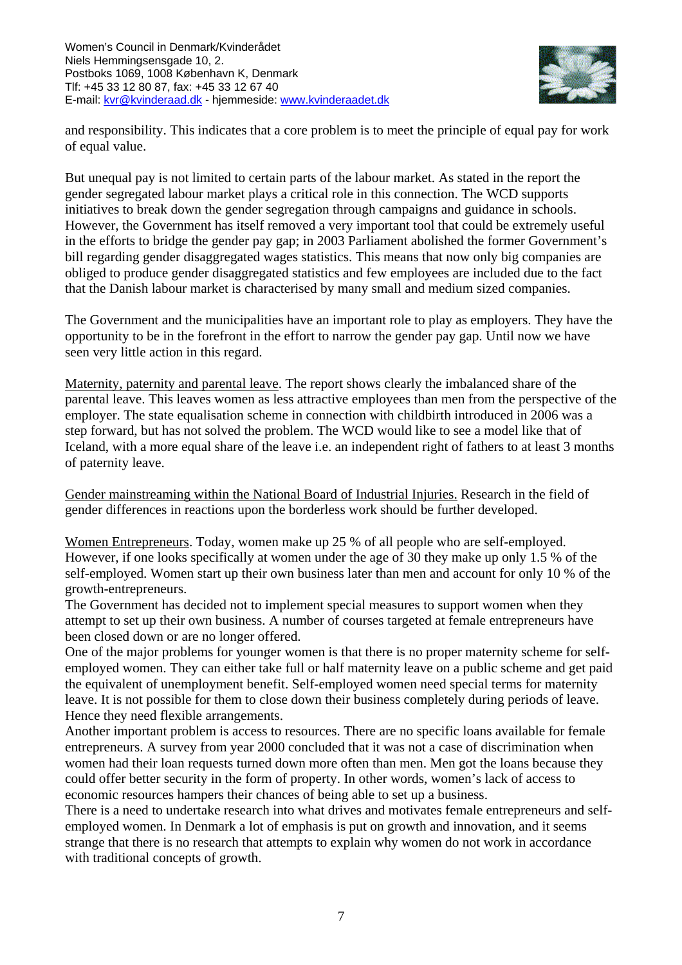

and responsibility. This indicates that a core problem is to meet the principle of equal pay for work of equal value.

But unequal pay is not limited to certain parts of the labour market. As stated in the report the gender segregated labour market plays a critical role in this connection. The WCD supports initiatives to break down the gender segregation through campaigns and guidance in schools. However, the Government has itself removed a very important tool that could be extremely useful in the efforts to bridge the gender pay gap; in 2003 Parliament abolished the former Government's bill regarding gender disaggregated wages statistics. This means that now only big companies are obliged to produce gender disaggregated statistics and few employees are included due to the fact that the Danish labour market is characterised by many small and medium sized companies.

The Government and the municipalities have an important role to play as employers. They have the opportunity to be in the forefront in the effort to narrow the gender pay gap. Until now we have seen very little action in this regard.

Maternity, paternity and parental leave. The report shows clearly the imbalanced share of the parental leave. This leaves women as less attractive employees than men from the perspective of the employer. The state equalisation scheme in connection with childbirth introduced in 2006 was a step forward, but has not solved the problem. The WCD would like to see a model like that of Iceland, with a more equal share of the leave i.e. an independent right of fathers to at least 3 months of paternity leave.

Gender mainstreaming within the National Board of Industrial Injuries. Research in the field of gender differences in reactions upon the borderless work should be further developed.

Women Entrepreneurs. Today, women make up 25 % of all people who are self-employed. However, if one looks specifically at women under the age of 30 they make up only 1.5 % of the self-employed. Women start up their own business later than men and account for only 10 % of the growth-entrepreneurs.

The Government has decided not to implement special measures to support women when they attempt to set up their own business. A number of courses targeted at female entrepreneurs have been closed down or are no longer offered.

One of the major problems for younger women is that there is no proper maternity scheme for selfemployed women. They can either take full or half maternity leave on a public scheme and get paid the equivalent of unemployment benefit. Self-employed women need special terms for maternity leave. It is not possible for them to close down their business completely during periods of leave. Hence they need flexible arrangements.

Another important problem is access to resources. There are no specific loans available for female entrepreneurs. A survey from year 2000 concluded that it was not a case of discrimination when women had their loan requests turned down more often than men. Men got the loans because they could offer better security in the form of property. In other words, women's lack of access to economic resources hampers their chances of being able to set up a business.

There is a need to undertake research into what drives and motivates female entrepreneurs and selfemployed women. In Denmark a lot of emphasis is put on growth and innovation, and it seems strange that there is no research that attempts to explain why women do not work in accordance with traditional concepts of growth.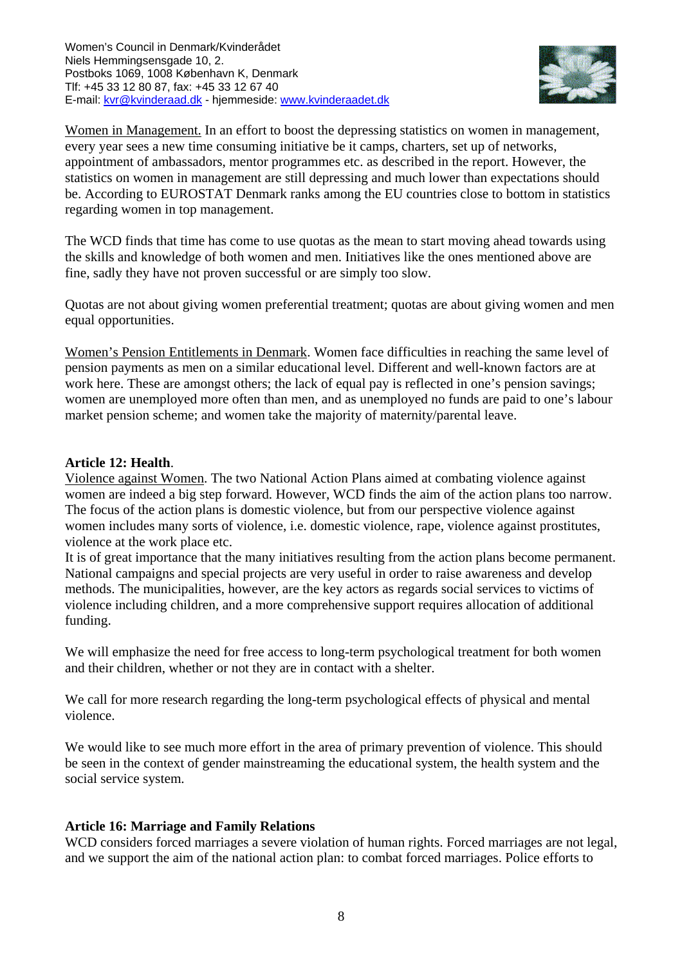

Women in Management. In an effort to boost the depressing statistics on women in management, every year sees a new time consuming initiative be it camps, charters, set up of networks, appointment of ambassadors, mentor programmes etc. as described in the report. However, the statistics on women in management are still depressing and much lower than expectations should be. According to EUROSTAT Denmark ranks among the EU countries close to bottom in statistics regarding women in top management.

The WCD finds that time has come to use quotas as the mean to start moving ahead towards using the skills and knowledge of both women and men. Initiatives like the ones mentioned above are fine, sadly they have not proven successful or are simply too slow.

Quotas are not about giving women preferential treatment; quotas are about giving women and men equal opportunities.

Women's Pension Entitlements in Denmark. Women face difficulties in reaching the same level of pension payments as men on a similar educational level. Different and well-known factors are at work here. These are amongst others; the lack of equal pay is reflected in one's pension savings; women are unemployed more often than men, and as unemployed no funds are paid to one's labour market pension scheme; and women take the majority of maternity/parental leave.

### **Article 12: Health**.

Violence against Women. The two National Action Plans aimed at combating violence against women are indeed a big step forward. However, WCD finds the aim of the action plans too narrow. The focus of the action plans is domestic violence, but from our perspective violence against women includes many sorts of violence, i.e. domestic violence, rape, violence against prostitutes, violence at the work place etc.

It is of great importance that the many initiatives resulting from the action plans become permanent. National campaigns and special projects are very useful in order to raise awareness and develop methods. The municipalities, however, are the key actors as regards social services to victims of violence including children, and a more comprehensive support requires allocation of additional funding.

We will emphasize the need for free access to long-term psychological treatment for both women and their children, whether or not they are in contact with a shelter.

We call for more research regarding the long-term psychological effects of physical and mental violence.

We would like to see much more effort in the area of primary prevention of violence. This should be seen in the context of gender mainstreaming the educational system, the health system and the social service system.

# **Article 16: Marriage and Family Relations**

WCD considers forced marriages a severe violation of human rights. Forced marriages are not legal, and we support the aim of the national action plan: to combat forced marriages. Police efforts to